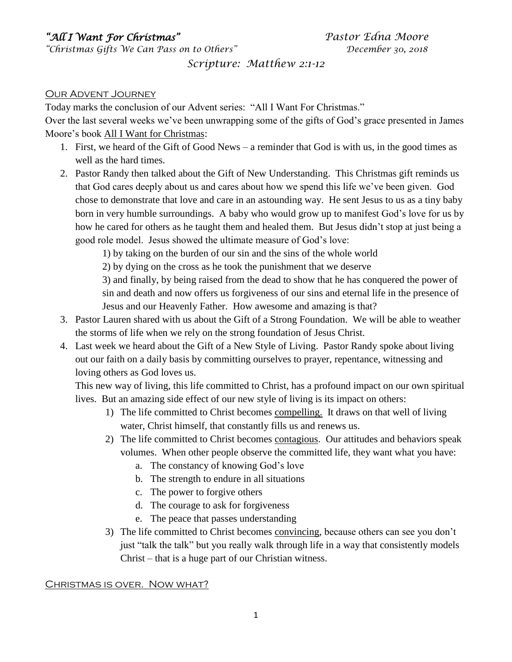# *"All I Want For Christmas"**Pastor Edna Moore*

*"Christmas Gifts We Can Pass on to Others" December 30, 2018*

## *Scripture: Matthew 2:1-12*

#### Our Advent Journey

Today marks the conclusion of our Advent series: "All I Want For Christmas."

Over the last several weeks we've been unwrapping some of the gifts of God's grace presented in James Moore's book All I Want for Christmas:

- 1. First, we heard of the Gift of Good News a reminder that God is with us, in the good times as well as the hard times.
- 2. Pastor Randy then talked about the Gift of New Understanding. This Christmas gift reminds us that God cares deeply about us and cares about how we spend this life we've been given. God chose to demonstrate that love and care in an astounding way. He sent Jesus to us as a tiny baby born in very humble surroundings. A baby who would grow up to manifest God's love for us by how he cared for others as he taught them and healed them. But Jesus didn't stop at just being a good role model. Jesus showed the ultimate measure of God's love:

1) by taking on the burden of our sin and the sins of the whole world

2) by dying on the cross as he took the punishment that we deserve

3) and finally, by being raised from the dead to show that he has conquered the power of sin and death and now offers us forgiveness of our sins and eternal life in the presence of Jesus and our Heavenly Father. How awesome and amazing is that?

- 3. Pastor Lauren shared with us about the Gift of a Strong Foundation. We will be able to weather the storms of life when we rely on the strong foundation of Jesus Christ.
- 4. Last week we heard about the Gift of a New Style of Living. Pastor Randy spoke about living out our faith on a daily basis by committing ourselves to prayer, repentance, witnessing and loving others as God loves us.

This new way of living, this life committed to Christ, has a profound impact on our own spiritual lives. But an amazing side effect of our new style of living is its impact on others:

- 1) The life committed to Christ becomes compelling. It draws on that well of living water, Christ himself, that constantly fills us and renews us.
- 2) The life committed to Christ becomes contagious. Our attitudes and behaviors speak volumes. When other people observe the committed life, they want what you have:
	- a. The constancy of knowing God's love
	- b. The strength to endure in all situations
	- c. The power to forgive others
	- d. The courage to ask for forgiveness
	- e. The peace that passes understanding
- 3) The life committed to Christ becomes convincing, because others can see you don't just "talk the talk" but you really walk through life in a way that consistently models Christ – that is a huge part of our Christian witness.

#### Christmas is over. Now what?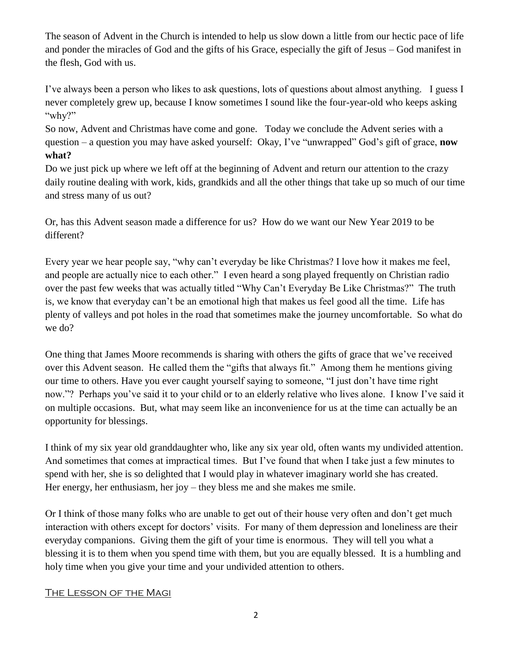The season of Advent in the Church is intended to help us slow down a little from our hectic pace of life and ponder the miracles of God and the gifts of his Grace, especially the gift of Jesus – God manifest in the flesh, God with us.

I've always been a person who likes to ask questions, lots of questions about almost anything. I guess I never completely grew up, because I know sometimes I sound like the four-year-old who keeps asking "why?"

So now, Advent and Christmas have come and gone. Today we conclude the Advent series with a question – a question you may have asked yourself: Okay, I've "unwrapped" God's gift of grace, **now what?**

Do we just pick up where we left off at the beginning of Advent and return our attention to the crazy daily routine dealing with work, kids, grandkids and all the other things that take up so much of our time and stress many of us out?

Or, has this Advent season made a difference for us? How do we want our New Year 2019 to be different?

Every year we hear people say, "why can't everyday be like Christmas? I love how it makes me feel, and people are actually nice to each other." I even heard a song played frequently on Christian radio over the past few weeks that was actually titled "Why Can't Everyday Be Like Christmas?" The truth is, we know that everyday can't be an emotional high that makes us feel good all the time. Life has plenty of valleys and pot holes in the road that sometimes make the journey uncomfortable. So what do we do?

One thing that James Moore recommends is sharing with others the gifts of grace that we've received over this Advent season. He called them the "gifts that always fit." Among them he mentions giving our time to others. Have you ever caught yourself saying to someone, "I just don't have time right now."? Perhaps you've said it to your child or to an elderly relative who lives alone. I know I've said it on multiple occasions. But, what may seem like an inconvenience for us at the time can actually be an opportunity for blessings.

I think of my six year old granddaughter who, like any six year old, often wants my undivided attention. And sometimes that comes at impractical times. But I've found that when I take just a few minutes to spend with her, she is so delighted that I would play in whatever imaginary world she has created. Her energy, her enthusiasm, her joy – they bless me and she makes me smile.

Or I think of those many folks who are unable to get out of their house very often and don't get much interaction with others except for doctors' visits. For many of them depression and loneliness are their everyday companions. Giving them the gift of your time is enormous. They will tell you what a blessing it is to them when you spend time with them, but you are equally blessed. It is a humbling and holy time when you give your time and your undivided attention to others.

### The Lesson of the Magi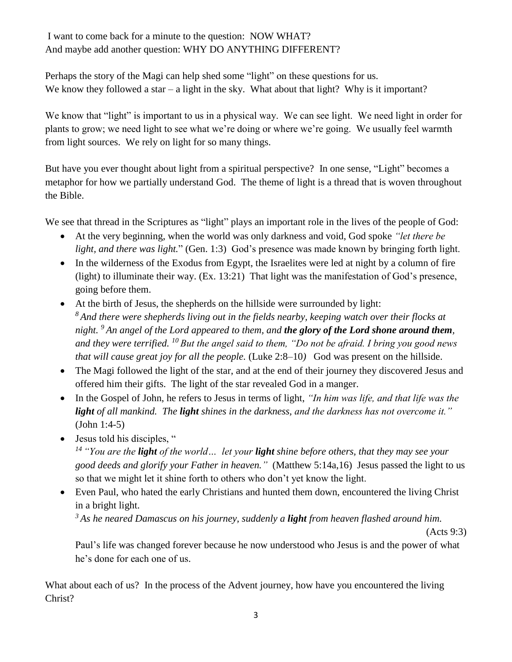## I want to come back for a minute to the question: NOW WHAT? And maybe add another question: WHY DO ANYTHING DIFFERENT?

Perhaps the story of the Magi can help shed some "light" on these questions for us. We know they followed a star – a light in the sky. What about that light? Why is it important?

We know that "light" is important to us in a physical way. We can see light. We need light in order for plants to grow; we need light to see what we're doing or where we're going. We usually feel warmth from light sources. We rely on light for so many things.

But have you ever thought about light from a spiritual perspective? In one sense, "Light" becomes a metaphor for how we partially understand God. The theme of light is a thread that is woven throughout the Bible.

We see that thread in the Scriptures as "light" plays an important role in the lives of the people of God:

- At the very beginning, when the world was only darkness and void, God spoke *"let there be light, and there was light.*" (Gen. 1:3) God's presence was made known by bringing forth light.
- In the wilderness of the Exodus from Egypt, the Israelites were led at night by a column of fire (light) to illuminate their way. (Ex. 13:21) That light was the manifestation of God's presence, going before them.
- At the birth of Jesus, the shepherds on the hillside were surrounded by light: *<sup>8</sup> And there were shepherds living out in the fields nearby, keeping watch over their flocks at night. <sup>9</sup> An angel of the Lord appeared to them, and the glory of the Lord shone around them, and they were terrified. <sup>10</sup> But the angel said to them, "Do not be afraid. I bring you good news that will cause great joy for all the people.* (Luke 2:8–10) God was present on the hillside.
- The Magi followed the light of the star, and at the end of their journey they discovered Jesus and offered him their gifts. The light of the star revealed God in a manger.
- In the Gospel of John, he refers to Jesus in terms of light, *"In him was life, and that life was the light of all mankind. The light shines in the darkness, and the darkness has not overcome it."* (John 1:4-5)
- Jesus told his disciples, "

*<sup>14</sup> "You are the light of the world… let your light shine before others, that they may see your good deeds and glorify your Father in heaven."* (Matthew 5:14a,16) Jesus passed the light to us so that we might let it shine forth to others who don't yet know the light.

• Even Paul, who hated the early Christians and hunted them down, encountered the living Christ in a bright light.

*<sup>3</sup> As he neared Damascus on his journey, suddenly a light from heaven flashed around him.* 

(Acts 9:3)

Paul's life was changed forever because he now understood who Jesus is and the power of what he's done for each one of us.

What about each of us? In the process of the Advent journey, how have you encountered the living Christ?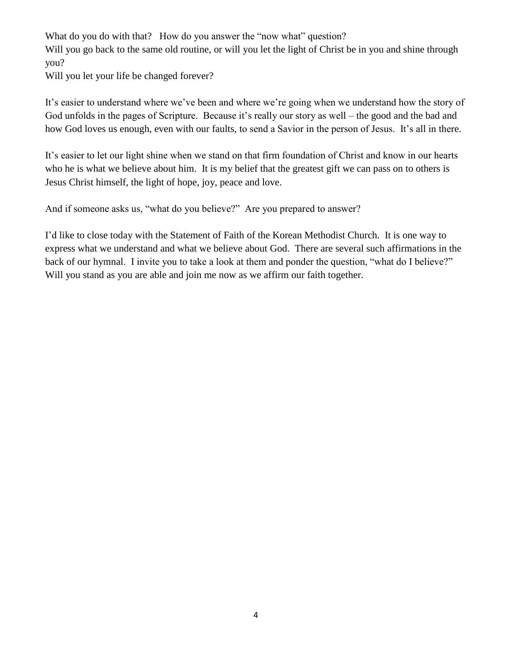What do you do with that? How do you answer the "now what" question? Will you go back to the same old routine, or will you let the light of Christ be in you and shine through you?

Will you let your life be changed forever?

It's easier to understand where we've been and where we're going when we understand how the story of God unfolds in the pages of Scripture. Because it's really our story as well – the good and the bad and how God loves us enough, even with our faults, to send a Savior in the person of Jesus. It's all in there.

It's easier to let our light shine when we stand on that firm foundation of Christ and know in our hearts who he is what we believe about him. It is my belief that the greatest gift we can pass on to others is Jesus Christ himself, the light of hope, joy, peace and love.

And if someone asks us, "what do you believe?" Are you prepared to answer?

I'd like to close today with the Statement of Faith of the Korean Methodist Church. It is one way to express what we understand and what we believe about God. There are several such affirmations in the back of our hymnal. I invite you to take a look at them and ponder the question, "what do I believe?" Will you stand as you are able and join me now as we affirm our faith together.